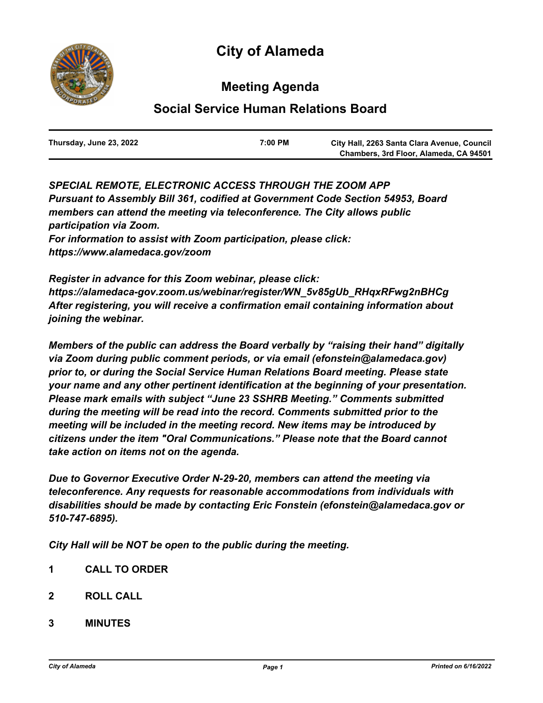# **City of Alameda**



# **Meeting Agenda**

# **Social Service Human Relations Board**

| Thursday, June 23, 2022 | 7:00 PM | City Hall, 2263 Santa Clara Avenue, Council |
|-------------------------|---------|---------------------------------------------|
|                         |         | Chambers, 3rd Floor, Alameda, CA 94501      |

*SPECIAL REMOTE, ELECTRONIC ACCESS THROUGH THE ZOOM APP Pursuant to Assembly Bill 361, codified at Government Code Section 54953, Board members can attend the meeting via teleconference. The City allows public participation via Zoom. For information to assist with Zoom participation, please click: https://www.alamedaca.gov/zoom*

*Register in advance for this Zoom webinar, please click: https://alamedaca-gov.zoom.us/webinar/register/WN\_5v85gUb\_RHqxRFwg2nBHCg After registering, you will receive a confirmation email containing information about joining the webinar.*

*Members of the public can address the Board verbally by "raising their hand" digitally via Zoom during public comment periods, or via email (efonstein@alamedaca.gov) prior to, or during the Social Service Human Relations Board meeting. Please state your name and any other pertinent identification at the beginning of your presentation. Please mark emails with subject "June 23 SSHRB Meeting." Comments submitted during the meeting will be read into the record. Comments submitted prior to the meeting will be included in the meeting record. New items may be introduced by citizens under the item "Oral Communications." Please note that the Board cannot take action on items not on the agenda.*

*Due to Governor Executive Order N-29-20, members can attend the meeting via teleconference. Any requests for reasonable accommodations from individuals with disabilities should be made by contacting Eric Fonstein (efonstein@alamedaca.gov or 510-747-6895).*

*City Hall will be NOT be open to the public during the meeting.*

- **1 CALL TO ORDER**
- **2 ROLL CALL**
- **3 MINUTES**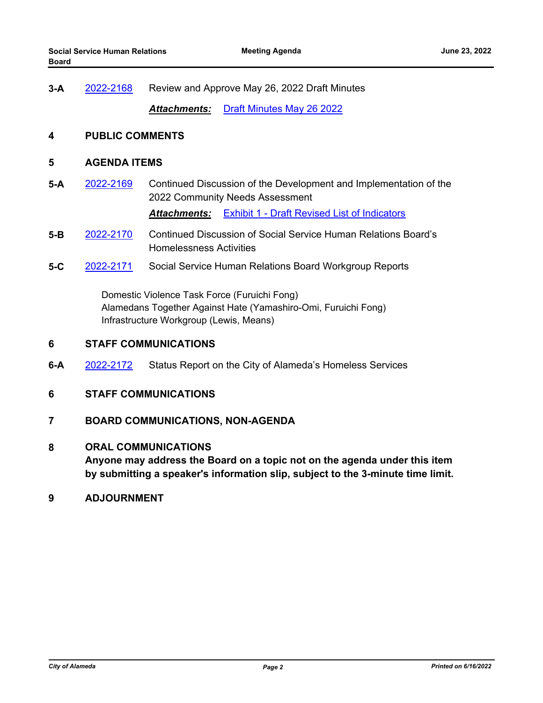**3-A** [2022-2168](http://alameda.legistar.com/gateway.aspx?m=l&id=/matter.aspx?key=11945) Review and Approve May 26, 2022 Draft Minutes

*Attachments:* [Draft Minutes May 26 2022](http://alameda.legistar.com/gateway.aspx?M=F&ID=fd7ae053-7189-46b3-acc6-e66320c3cdf3.pdf)

#### **4 PUBLIC COMMENTS**

## **5 AGENDA ITEMS**

**5-A** [2022-2169](http://alameda.legistar.com/gateway.aspx?m=l&id=/matter.aspx?key=11946) Continued Discussion of the Development and Implementation of the 2022 Community Needs Assessment

*Attachments:* [Exhibit 1 - Draft Revised List of Indicators](http://alameda.legistar.com/gateway.aspx?M=F&ID=510901d0-af19-4763-b6f8-c8752db0aef5.pdf)

- **5-B** [2022-2170](http://alameda.legistar.com/gateway.aspx?m=l&id=/matter.aspx?key=11947) Continued Discussion of Social Service Human Relations Board's Homelessness Activities
- **5-C** [2022-2171](http://alameda.legistar.com/gateway.aspx?m=l&id=/matter.aspx?key=11948) Social Service Human Relations Board Workgroup Reports

 Domestic Violence Task Force (Furuichi Fong) Alamedans Together Against Hate (Yamashiro-Omi, Furuichi Fong) Infrastructure Workgroup (Lewis, Means)

### **6 STAFF COMMUNICATIONS**

- **6-A** [2022-2172](http://alameda.legistar.com/gateway.aspx?m=l&id=/matter.aspx?key=11949) Status Report on the City of Alameda's Homeless Services
- **6 STAFF COMMUNICATIONS**

### **7 BOARD COMMUNICATIONS, NON-AGENDA**

#### **8 ORAL COMMUNICATIONS**

**Anyone may address the Board on a topic not on the agenda under this item by submitting a speaker's information slip, subject to the 3-minute time limit.**

**9 ADJOURNMENT**